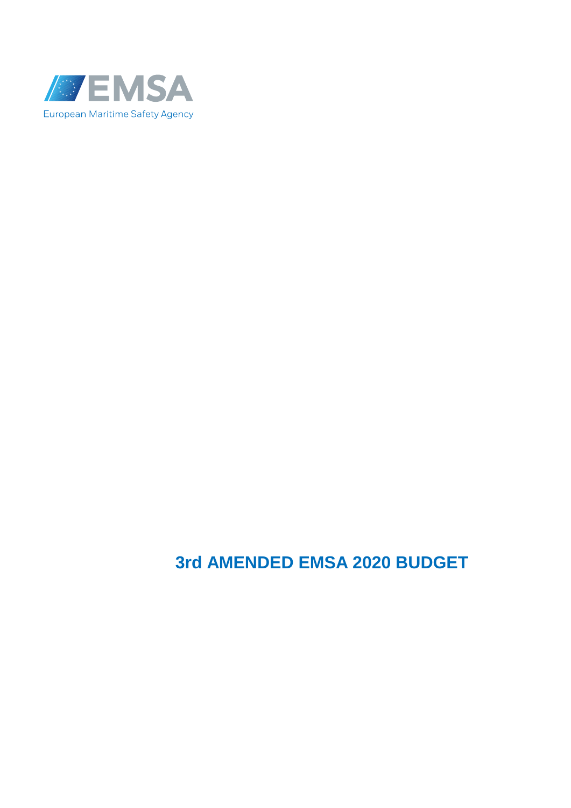

# **3rd AMENDED EMSA 2020 BUDGET**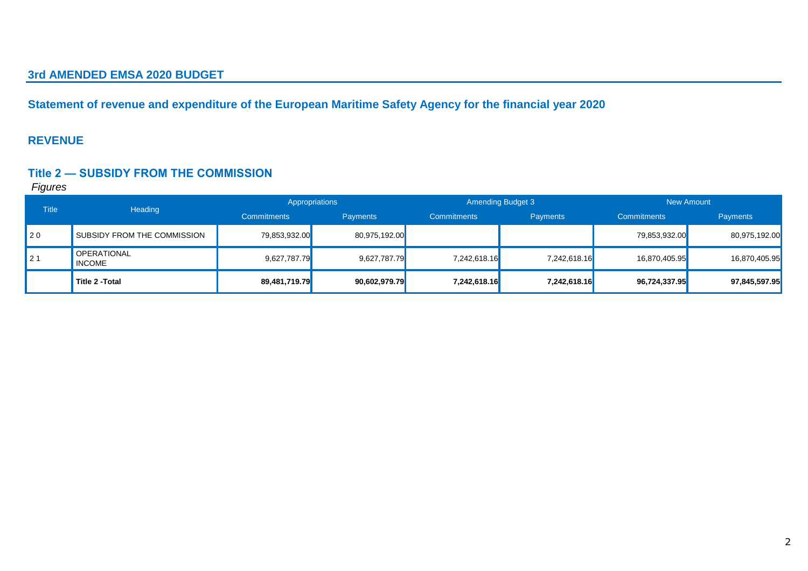#### **3rd AMENDED EMSA 2020 BUDGET**

**Statement of revenue and expenditure of the European Maritime Safety Agency for the financial year 2020**

#### **REVENUE**

#### **Title 2 — SUBSIDY FROM THE COMMISSION**

| <b>Title</b>   | Heading                             |                    | Appropriations  | <b>Amending Budget 3</b> |                 |                    | New Amount      |
|----------------|-------------------------------------|--------------------|-----------------|--------------------------|-----------------|--------------------|-----------------|
|                |                                     | <b>Commitments</b> | <b>Payments</b> | <b>Commitments</b>       | <b>Payments</b> | <b>Commitments</b> | <b>Payments</b> |
| 120            | SUBSIDY FROM THE COMMISSION         | 79,853,932.00      | 80,975,192.00   |                          |                 | 79,853,932.00      | 80,975,192.00   |
| 2 <sub>1</sub> | <b>OPERATIONAL</b><br><b>INCOME</b> | 9,627,787.79       | 9,627,787.79    | 7,242,618.16             | 7,242,618.16    | 16,870,405.95      | 16,870,405.95   |
|                | Title 2 - Total                     | 89,481,719.79      | 90,602,979.79   | 7,242,618.16             | 7,242,618.16    | 96,724,337.95      | 97,845,597.95   |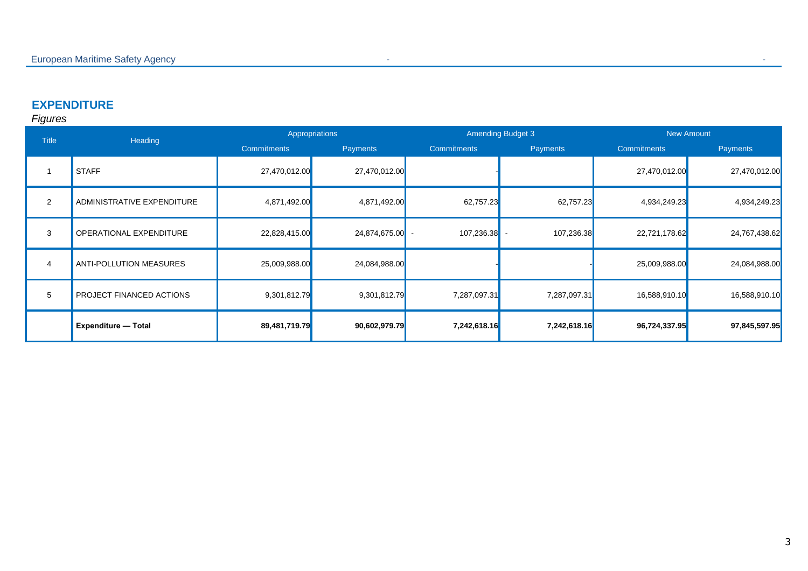### **EXPENDITURE**

| <b>Title</b>   | Heading                    |                    | Appropriations |                    | <b>Amending Budget 3</b> | <b>New Amount</b>  |               |
|----------------|----------------------------|--------------------|----------------|--------------------|--------------------------|--------------------|---------------|
|                |                            | <b>Commitments</b> | Payments       | <b>Commitments</b> | <b>Payments</b>          | <b>Commitments</b> | Payments      |
|                | <b>STAFF</b>               | 27,470,012.00      | 27,470,012.00  |                    |                          | 27,470,012.00      | 27,470,012.00 |
| $\overline{2}$ | ADMINISTRATIVE EXPENDITURE | 4,871,492.00       | 4,871,492.00   | 62,757.23          | 62,757.23                | 4,934,249.23       | 4,934,249.23  |
| 3              | OPERATIONAL EXPENDITURE    | 22,828,415.00      | 24,874,675.00  | 107,236.38         | 107,236.38               | 22,721,178.62      | 24,767,438.62 |
| 4              | ANTI-POLLUTION MEASURES    | 25,009,988.00      | 24,084,988.00  |                    |                          | 25,009,988.00      | 24,084,988.00 |
| 5              | PROJECT FINANCED ACTIONS   | 9,301,812.79       | 9,301,812.79   | 7,287,097.31       | 7,287,097.31             | 16,588,910.10      | 16,588,910.10 |
|                | <b>Expenditure - Total</b> | 89,481,719.79      | 90,602,979.79  | 7,242,618.16       | 7,242,618.16             | 96,724,337.95      | 97,845,597.95 |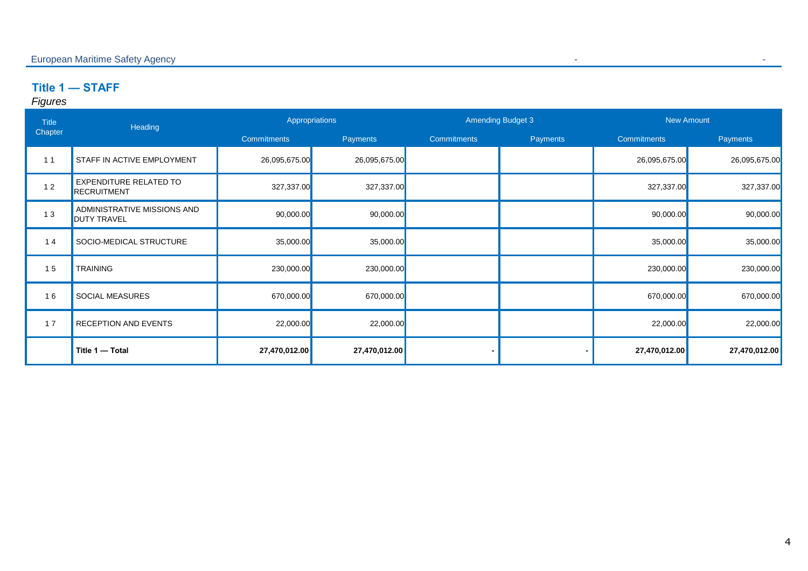# **Title 1 — STAFF**

| <b>Title</b> | Heading                                             |                    | Appropriations  |                    | <b>Amending Budget 3</b> |                    | <b>New Amount</b> |
|--------------|-----------------------------------------------------|--------------------|-----------------|--------------------|--------------------------|--------------------|-------------------|
| Chapter      |                                                     | <b>Commitments</b> | <b>Payments</b> | <b>Commitments</b> | Payments                 | <b>Commitments</b> | Payments          |
| 11           | <b>STAFF IN ACTIVE EMPLOYMENT</b>                   | 26,095,675.00      | 26,095,675.00   |                    |                          | 26,095,675.00      | 26,095,675.00     |
| 12           | <b>EXPENDITURE RELATED TO</b><br><b>RECRUITMENT</b> | 327,337.00         | 327,337.00      |                    |                          | 327,337.00         | 327,337.00        |
| 13           | ADMINISTRATIVE MISSIONS AND<br><b>DUTY TRAVEL</b>   | 90,000.00          | 90,000.00       |                    |                          | 90,000.00          | 90,000.00         |
| 14           | SOCIO-MEDICAL STRUCTURE                             | 35,000.00          | 35,000.00       |                    |                          | 35,000.00          | 35,000.00         |
| 15           | <b>TRAINING</b>                                     | 230,000.00         | 230,000.00      |                    |                          | 230,000.00         | 230,000.00        |
| 16           | <b>SOCIAL MEASURES</b>                              | 670,000.00         | 670,000.00      |                    |                          | 670,000.00         | 670,000.00        |
| 17           | <b>RECEPTION AND EVENTS</b>                         | 22,000.00          | 22,000.00       |                    |                          | 22,000.00          | 22,000.00         |
|              | Title 1 - Total                                     | 27,470,012.00      | 27,470,012.00   |                    |                          | 27,470,012.00      | 27,470,012.00     |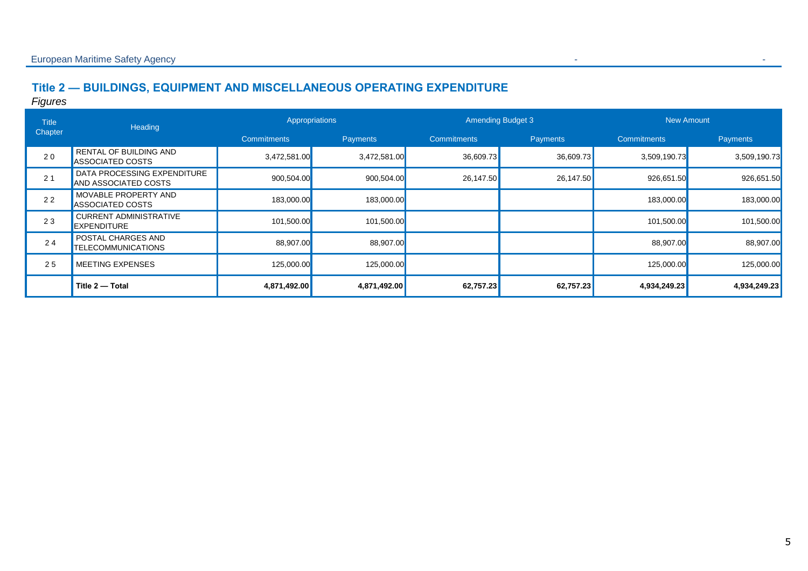# **Title 2 — BUILDINGS, EQUIPMENT AND MISCELLANEOUS OPERATING EXPENDITURE**

| <b>Title</b> | Heading                                                  |                    | <b>Amending Budget 3</b><br>Appropriations |                    |           |                    | <b>New Amount</b> |  |
|--------------|----------------------------------------------------------|--------------------|--------------------------------------------|--------------------|-----------|--------------------|-------------------|--|
| Chapter      |                                                          | <b>Commitments</b> | Payments                                   | <b>Commitments</b> | Payments  | <b>Commitments</b> | Payments          |  |
| 20           | <b>RENTAL OF BUILDING AND</b><br><b>ASSOCIATED COSTS</b> | 3,472,581.00       | 3,472,581.00                               | 36,609.73          | 36,609.73 | 3,509,190.73       | 3,509,190.73      |  |
| 21           | DATA PROCESSING EXPENDITURE<br>AND ASSOCIATED COSTS      | 900,504.00         | 900,504.00                                 | 26,147.50          | 26,147.50 | 926,651.50         | 926,651.50        |  |
| 22           | <b>MOVABLE PROPERTY AND</b><br><b>ASSOCIATED COSTS</b>   | 183,000.00         | 183,000.00                                 |                    |           | 183,000.00         | 183,000.00        |  |
| 23           | <b>CURRENT ADMINISTRATIVE</b><br><b>EXPENDITURE</b>      | 101,500.00         | 101,500.00                                 |                    |           | 101,500.00         | 101,500.00        |  |
| 24           | <b>POSTAL CHARGES AND</b><br><b>TELECOMMUNICATIONS</b>   | 88,907.00          | 88,907.00                                  |                    |           | 88,907.00          | 88,907.00         |  |
| 25           | <b>MEETING EXPENSES</b>                                  | 125,000.00         | 125,000.00                                 |                    |           | 125,000.00         | 125,000.00        |  |
|              | Title 2 - Total                                          | 4,871,492.00       | 4,871,492.00                               | 62,757.23          | 62,757.23 | 4,934,249.23       | 4,934,249.23      |  |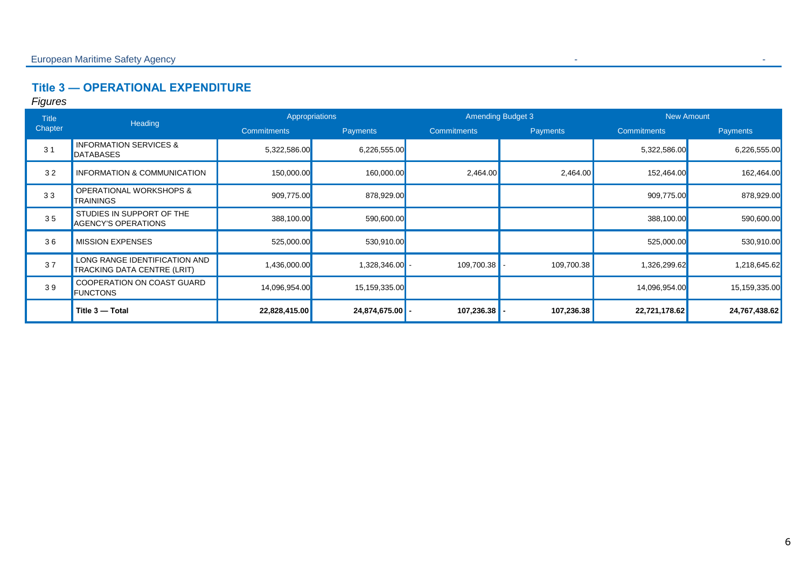# **Title 3 — OPERATIONAL EXPENDITURE**

| <b>Title</b>   | Heading                                                      |                    | Appropriations  |                    | <b>Amending Budget 3</b> | <b>New Amount</b>  |                 |
|----------------|--------------------------------------------------------------|--------------------|-----------------|--------------------|--------------------------|--------------------|-----------------|
| Chapter        |                                                              | <b>Commitments</b> | <b>Payments</b> | <b>Commitments</b> | <b>Payments</b>          | <b>Commitments</b> | <b>Payments</b> |
| 3 <sub>1</sub> | <b>INFORMATION SERVICES &amp;</b><br>DATABASES               | 5,322,586.00       | 6,226,555.00    |                    |                          | 5,322,586.00       | 6,226,555.00    |
| 32             | INFORMATION & COMMUNICATION                                  | 150,000.00         | 160,000.00      | 2,464.00           | 2,464.00                 | 152,464.00         | 162,464.00      |
| 33             | <b>OPERATIONAL WORKSHOPS &amp;</b><br><b>TRAININGS</b>       | 909,775.00         | 878,929.00      |                    |                          | 909,775.00         | 878,929.00      |
| 35             | STUDIES IN SUPPORT OF THE<br><b>AGENCY'S OPERATIONS</b>      | 388,100.00         | 590,600.00      |                    |                          | 388,100.00         | 590,600.00      |
| 36             | <b>MISSION EXPENSES</b>                                      | 525,000.00         | 530,910.00      |                    |                          | 525,000.00         | 530,910.00      |
| 37             | LONG RANGE IDENTIFICATION AND<br>TRACKING DATA CENTRE (LRIT) | 1,436,000.00       | 1,328,346.00    | 109,700.38         | 109,700.38               | 1,326,299.62       | 1,218,645.62    |
| 39             | COOPERATION ON COAST GUARD<br><b>FUNCTONS</b>                | 14,096,954.00      | 15,159,335.00   |                    |                          | 14,096,954.00      | 15,159,335.00   |
|                | Title 3 - Total                                              | 22,828,415.00      | 24,874,675.00   | 107,236.38         | 107,236.38               | 22,721,178.62      | 24,767,438.62   |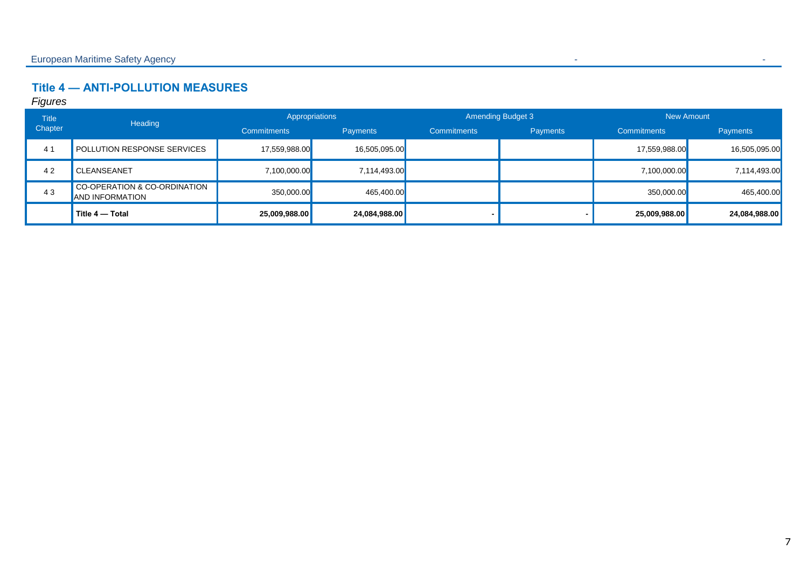# **Title 4 — ANTI-POLLUTION MEASURES**

| <b>Title</b> | Heading                                                |                    | Appropriations  |                    | <b>Amending Budget 3</b> |                    | <b>New Amount</b> |
|--------------|--------------------------------------------------------|--------------------|-----------------|--------------------|--------------------------|--------------------|-------------------|
| Chapter      |                                                        | <b>Commitments</b> | <b>Payments</b> | <b>Commitments</b> | <b>Payments</b>          | <b>Commitments</b> | <b>Payments</b>   |
| 41           | <b>POLLUTION RESPONSE SERVICES</b>                     | 17,559,988.00      | 16,505,095.00   |                    |                          | 17,559,988.00      | 16,505,095.00     |
| 42           | <b>CLEANSEANET</b>                                     | 7,100,000.00       | 7,114,493.00    |                    |                          | 7,100,000.00       | 7,114,493.00      |
| 43           | CO-OPERATION & CO-ORDINATION<br><b>AND INFORMATION</b> | 350,000.00         | 465,400.00      |                    |                          | 350,000.00         | 465,400.00        |
|              | Title 4 - Total                                        | 25,009,988.00      | 24,084,988.00   |                    |                          | 25,009,988.00      | 24,084,988.00     |